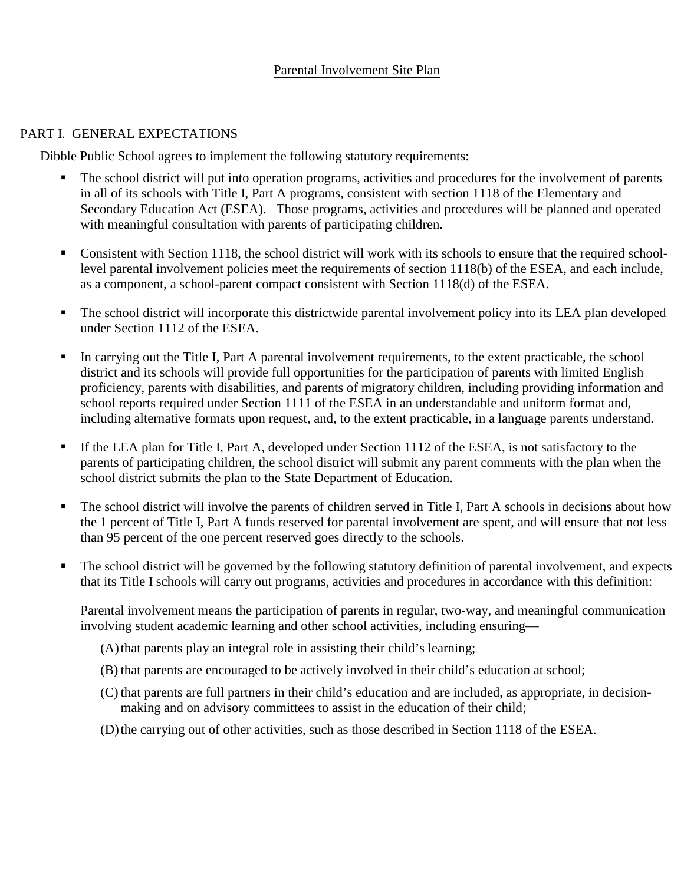# Parental Involvement Site Plan

### PART I. GENERAL EXPECTATIONS

Dibble Public School agrees to implement the following statutory requirements:

- The school district will put into operation programs, activities and procedures for the involvement of parents in all of its schools with Title I, Part A programs, consistent with section 1118 of the Elementary and Secondary Education Act (ESEA). Those programs, activities and procedures will be planned and operated with meaningful consultation with parents of participating children.
- Consistent with Section 1118, the school district will work with its schools to ensure that the required schoollevel parental involvement policies meet the requirements of section 1118(b) of the ESEA, and each include, as a component, a school-parent compact consistent with Section 1118(d) of the ESEA.
- The school district will incorporate this districtwide parental involvement policy into its LEA plan developed under Section 1112 of the ESEA.
- In carrying out the Title I, Part A parental involvement requirements, to the extent practicable, the school district and its schools will provide full opportunities for the participation of parents with limited English proficiency, parents with disabilities, and parents of migratory children, including providing information and school reports required under Section 1111 of the ESEA in an understandable and uniform format and, including alternative formats upon request, and, to the extent practicable, in a language parents understand.
- If the LEA plan for Title I, Part A, developed under Section 1112 of the ESEA, is not satisfactory to the parents of participating children, the school district will submit any parent comments with the plan when the school district submits the plan to the State Department of Education.
- The school district will involve the parents of children served in Title I, Part A schools in decisions about how the 1 percent of Title I, Part A funds reserved for parental involvement are spent, and will ensure that not less than 95 percent of the one percent reserved goes directly to the schools.
- The school district will be governed by the following statutory definition of parental involvement, and expects that its Title I schools will carry out programs, activities and procedures in accordance with this definition:

Parental involvement means the participation of parents in regular, two-way, and meaningful communication involving student academic learning and other school activities, including ensuring—

- (A) that parents play an integral role in assisting their child's learning;
- (B) that parents are encouraged to be actively involved in their child's education at school;
- (C) that parents are full partners in their child's education and are included, as appropriate, in decisionmaking and on advisory committees to assist in the education of their child;
- (D) the carrying out of other activities, such as those described in Section 1118 of the ESEA.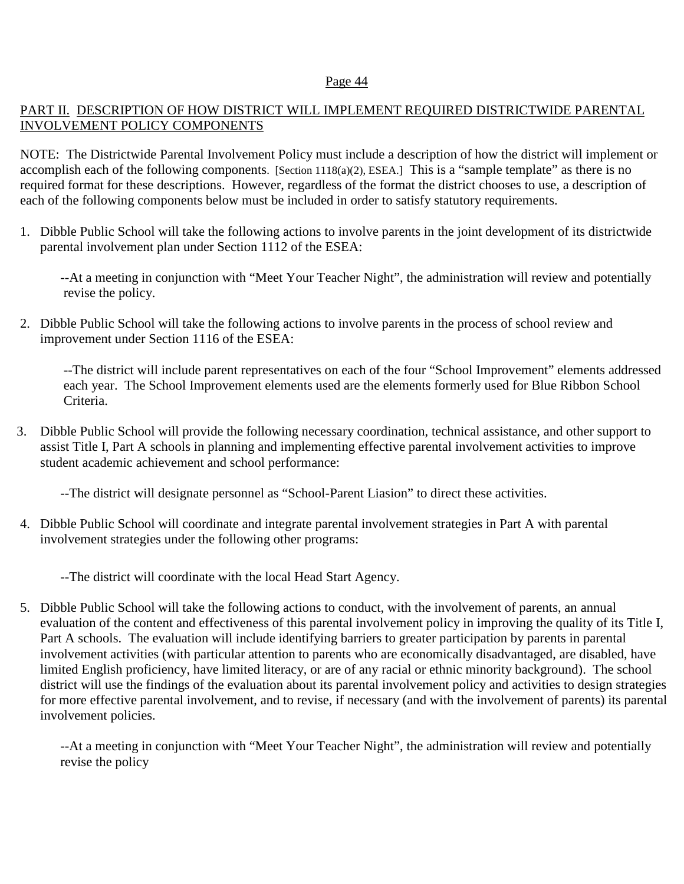#### Page 44

## PART II. DESCRIPTION OF HOW DISTRICT WILL IMPLEMENT REQUIRED DISTRICTWIDE PARENTAL INVOLVEMENT POLICY COMPONENTS

NOTE: The Districtwide Parental Involvement Policy must include a description of how the district will implement or accomplish each of the following components. [Section 1118(a)(2), ESEA.] This is a "sample template" as there is no required format for these descriptions. However, regardless of the format the district chooses to use, a description of each of the following components below must be included in order to satisfy statutory requirements.

1. Dibble Public School will take the following actions to involve parents in the joint development of its districtwide parental involvement plan under Section 1112 of the ESEA:

--At a meeting in conjunction with "Meet Your Teacher Night", the administration will review and potentially revise the policy.

2. Dibble Public School will take the following actions to involve parents in the process of school review and improvement under Section 1116 of the ESEA:

 --The district will include parent representatives on each of the four "School Improvement" elements addressed each year. The School Improvement elements used are the elements formerly used for Blue Ribbon School Criteria.

3. Dibble Public School will provide the following necessary coordination, technical assistance, and other support to assist Title I, Part A schools in planning and implementing effective parental involvement activities to improve student academic achievement and school performance:

--The district will designate personnel as "School-Parent Liasion" to direct these activities.

4. Dibble Public School will coordinate and integrate parental involvement strategies in Part A with parental involvement strategies under the following other programs:

--The district will coordinate with the local Head Start Agency.

5. Dibble Public School will take the following actions to conduct, with the involvement of parents, an annual evaluation of the content and effectiveness of this parental involvement policy in improving the quality of its Title I, Part A schools. The evaluation will include identifying barriers to greater participation by parents in parental involvement activities (with particular attention to parents who are economically disadvantaged, are disabled, have limited English proficiency, have limited literacy, or are of any racial or ethnic minority background). The school district will use the findings of the evaluation about its parental involvement policy and activities to design strategies for more effective parental involvement, and to revise, if necessary (and with the involvement of parents) its parental involvement policies.

--At a meeting in conjunction with "Meet Your Teacher Night", the administration will review and potentially revise the policy